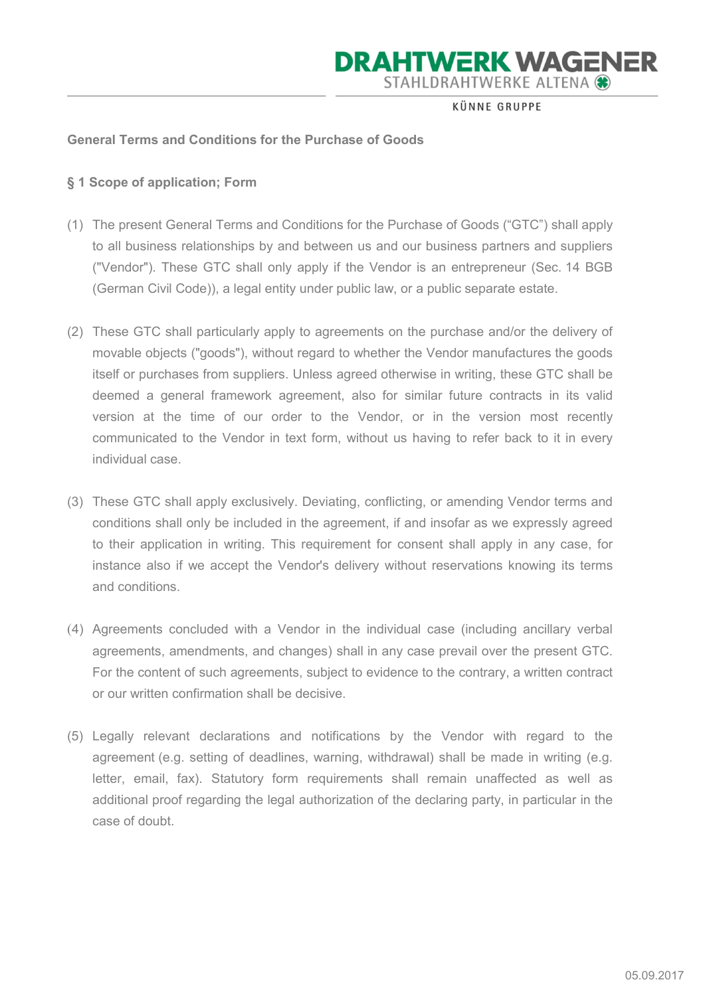KÜNNE GRUPPE

#### General Terms and Conditions for the Purchase of Goods

#### § 1 Scope of application; Form

- (1) The present General Terms and Conditions for the Purchase of Goods ("GTC") shall apply to all business relationships by and between us and our business partners and suppliers ("Vendor"). These GTC shall only apply if the Vendor is an entrepreneur (Sec. 14 BGB (German Civil Code)), a legal entity under public law, or a public separate estate.
- (2) These GTC shall particularly apply to agreements on the purchase and/or the delivery of movable objects ("goods"), without regard to whether the Vendor manufactures the goods itself or purchases from suppliers. Unless agreed otherwise in writing, these GTC shall be deemed a general framework agreement, also for similar future contracts in its valid version at the time of our order to the Vendor, or in the version most recently communicated to the Vendor in text form, without us having to refer back to it in every individual case.
- (3) These GTC shall apply exclusively. Deviating, conflicting, or amending Vendor terms and conditions shall only be included in the agreement, if and insofar as we expressly agreed to their application in writing. This requirement for consent shall apply in any case, for instance also if we accept the Vendor's delivery without reservations knowing its terms and conditions.
- (4) Agreements concluded with a Vendor in the individual case (including ancillary verbal agreements, amendments, and changes) shall in any case prevail over the present GTC. For the content of such agreements, subject to evidence to the contrary, a written contract or our written confirmation shall be decisive.
- (5) Legally relevant declarations and notifications by the Vendor with regard to the agreement (e.g. setting of deadlines, warning, withdrawal) shall be made in writing (e.g. letter, email, fax). Statutory form requirements shall remain unaffected as well as additional proof regarding the legal authorization of the declaring party, in particular in the case of doubt.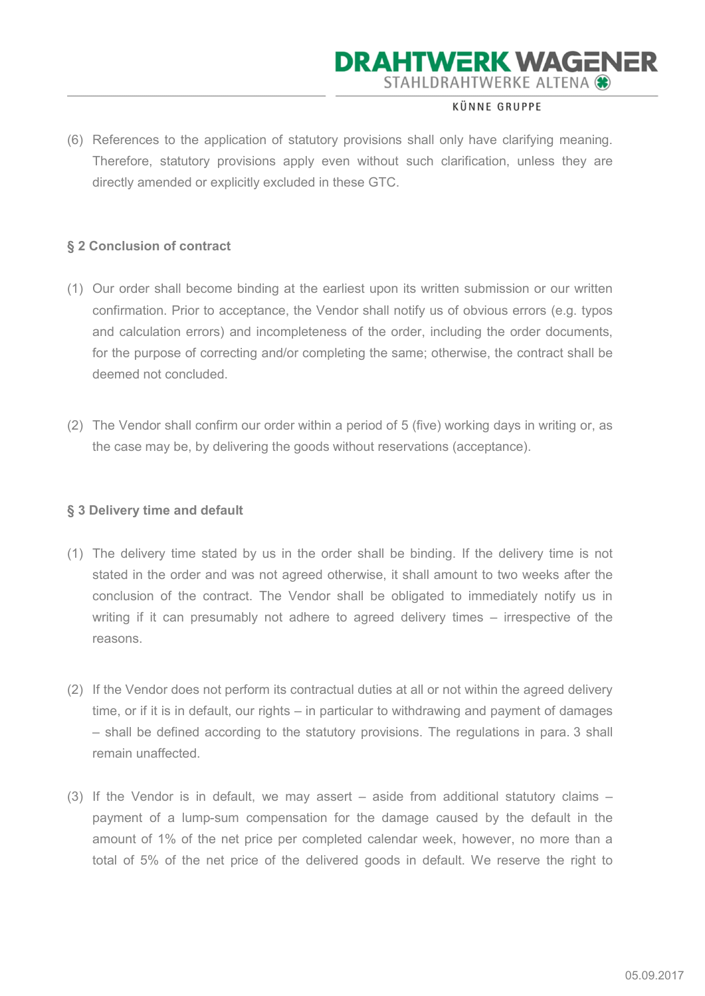#### KÜNNE GRUPPE

(6) References to the application of statutory provisions shall only have clarifying meaning. Therefore, statutory provisions apply even without such clarification, unless they are directly amended or explicitly excluded in these GTC.

### § 2 Conclusion of contract

- (1) Our order shall become binding at the earliest upon its written submission or our written confirmation. Prior to acceptance, the Vendor shall notify us of obvious errors (e.g. typos and calculation errors) and incompleteness of the order, including the order documents, for the purpose of correcting and/or completing the same; otherwise, the contract shall be deemed not concluded.
- (2) The Vendor shall confirm our order within a period of 5 (five) working days in writing or, as the case may be, by delivering the goods without reservations (acceptance).

#### § 3 Delivery time and default

- (1) The delivery time stated by us in the order shall be binding. If the delivery time is not stated in the order and was not agreed otherwise, it shall amount to two weeks after the conclusion of the contract. The Vendor shall be obligated to immediately notify us in writing if it can presumably not adhere to agreed delivery times – irrespective of the reasons.
- (2) If the Vendor does not perform its contractual duties at all or not within the agreed delivery time, or if it is in default, our rights – in particular to withdrawing and payment of damages – shall be defined according to the statutory provisions. The regulations in para. 3 shall remain unaffected.
- (3) If the Vendor is in default, we may assert aside from additional statutory claims payment of a lump-sum compensation for the damage caused by the default in the amount of 1% of the net price per completed calendar week, however, no more than a total of 5% of the net price of the delivered goods in default. We reserve the right to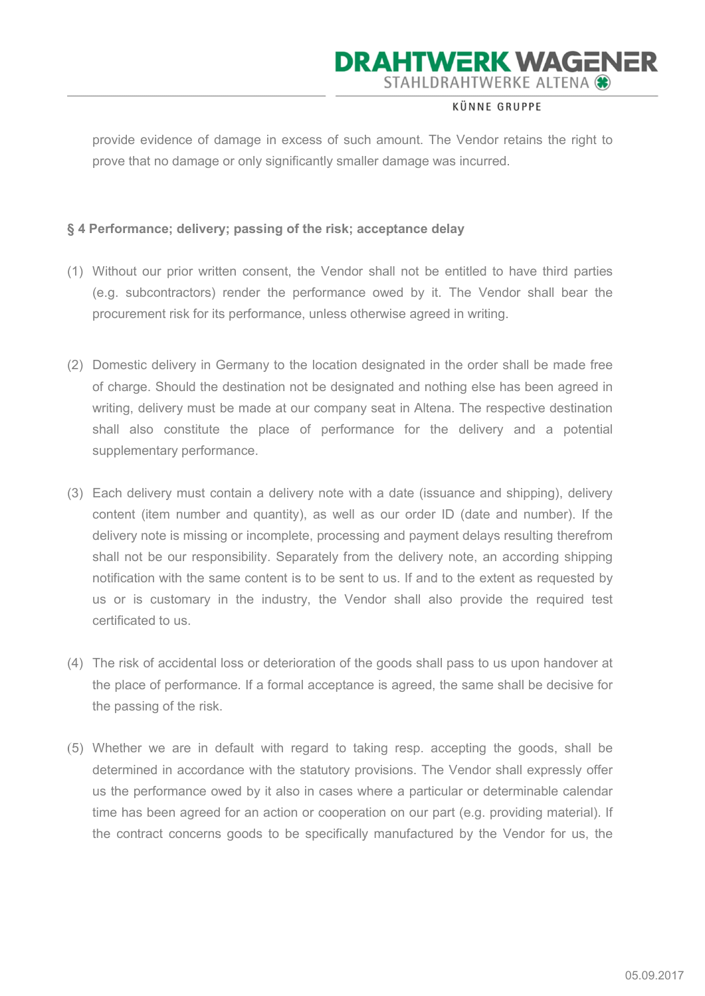#### KÜNNE GRUPPE

provide evidence of damage in excess of such amount. The Vendor retains the right to prove that no damage or only significantly smaller damage was incurred.

### § 4 Performance; delivery; passing of the risk; acceptance delay

- (1) Without our prior written consent, the Vendor shall not be entitled to have third parties (e.g. subcontractors) render the performance owed by it. The Vendor shall bear the procurement risk for its performance, unless otherwise agreed in writing.
- (2) Domestic delivery in Germany to the location designated in the order shall be made free of charge. Should the destination not be designated and nothing else has been agreed in writing, delivery must be made at our company seat in Altena. The respective destination shall also constitute the place of performance for the delivery and a potential supplementary performance.
- (3) Each delivery must contain a delivery note with a date (issuance and shipping), delivery content (item number and quantity), as well as our order ID (date and number). If the delivery note is missing or incomplete, processing and payment delays resulting therefrom shall not be our responsibility. Separately from the delivery note, an according shipping notification with the same content is to be sent to us. If and to the extent as requested by us or is customary in the industry, the Vendor shall also provide the required test certificated to us.
- (4) The risk of accidental loss or deterioration of the goods shall pass to us upon handover at the place of performance. If a formal acceptance is agreed, the same shall be decisive for the passing of the risk.
- (5) Whether we are in default with regard to taking resp. accepting the goods, shall be determined in accordance with the statutory provisions. The Vendor shall expressly offer us the performance owed by it also in cases where a particular or determinable calendar time has been agreed for an action or cooperation on our part (e.g. providing material). If the contract concerns goods to be specifically manufactured by the Vendor for us, the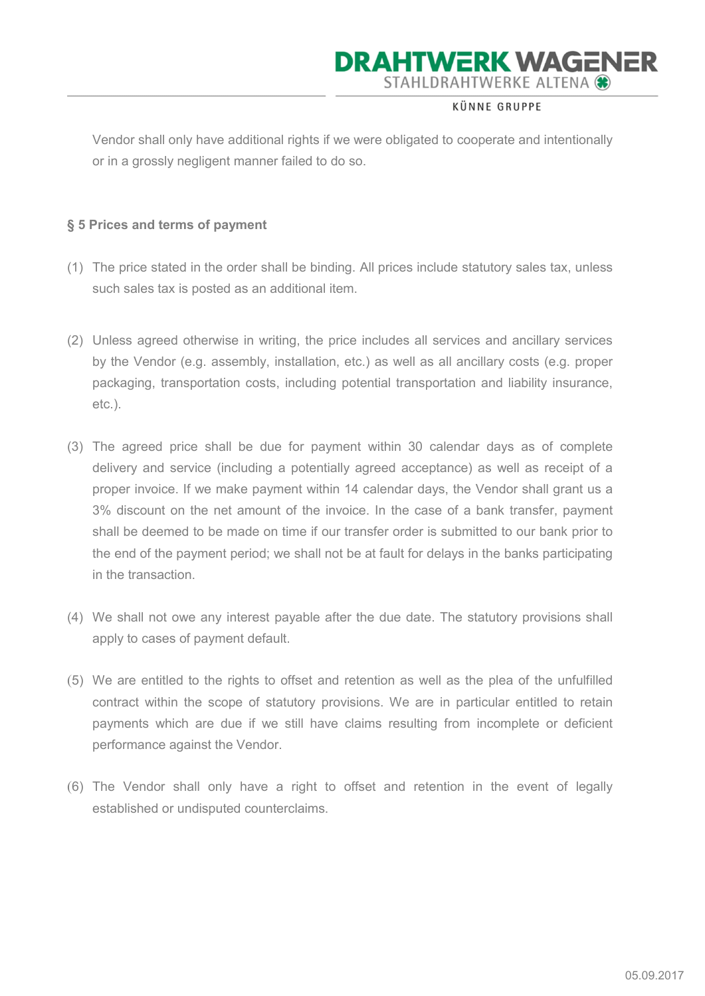#### KÜNNE GRUPPE

Vendor shall only have additional rights if we were obligated to cooperate and intentionally or in a grossly negligent manner failed to do so.

### § 5 Prices and terms of payment

- (1) The price stated in the order shall be binding. All prices include statutory sales tax, unless such sales tax is posted as an additional item.
- (2) Unless agreed otherwise in writing, the price includes all services and ancillary services by the Vendor (e.g. assembly, installation, etc.) as well as all ancillary costs (e.g. proper packaging, transportation costs, including potential transportation and liability insurance, etc.).
- (3) The agreed price shall be due for payment within 30 calendar days as of complete delivery and service (including a potentially agreed acceptance) as well as receipt of a proper invoice. If we make payment within 14 calendar days, the Vendor shall grant us a 3% discount on the net amount of the invoice. In the case of a bank transfer, payment shall be deemed to be made on time if our transfer order is submitted to our bank prior to the end of the payment period; we shall not be at fault for delays in the banks participating in the transaction.
- (4) We shall not owe any interest payable after the due date. The statutory provisions shall apply to cases of payment default.
- (5) We are entitled to the rights to offset and retention as well as the plea of the unfulfilled contract within the scope of statutory provisions. We are in particular entitled to retain payments which are due if we still have claims resulting from incomplete or deficient performance against the Vendor.
- (6) The Vendor shall only have a right to offset and retention in the event of legally established or undisputed counterclaims.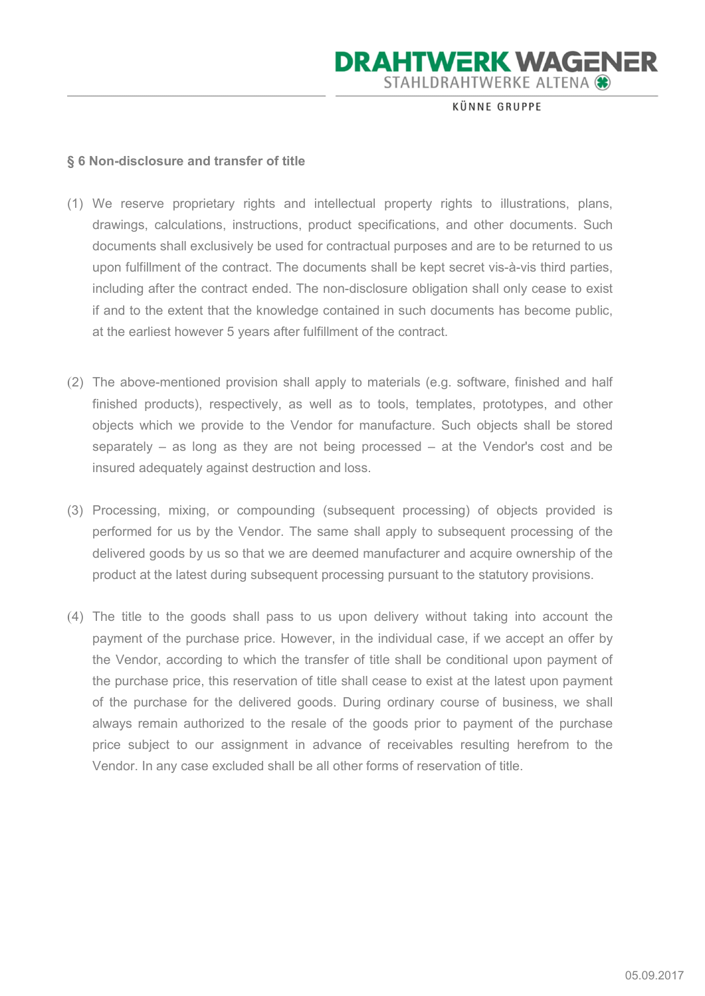KÜNNE GRUPPE

#### § 6 Non-disclosure and transfer of title

- (1) We reserve proprietary rights and intellectual property rights to illustrations, plans, drawings, calculations, instructions, product specifications, and other documents. Such documents shall exclusively be used for contractual purposes and are to be returned to us upon fulfillment of the contract. The documents shall be kept secret vis-à-vis third parties, including after the contract ended. The non-disclosure obligation shall only cease to exist if and to the extent that the knowledge contained in such documents has become public, at the earliest however 5 years after fulfillment of the contract.
- (2) The above-mentioned provision shall apply to materials (e.g. software, finished and half finished products), respectively, as well as to tools, templates, prototypes, and other objects which we provide to the Vendor for manufacture. Such objects shall be stored separately – as long as they are not being processed – at the Vendor's cost and be insured adequately against destruction and loss.
- (3) Processing, mixing, or compounding (subsequent processing) of objects provided is performed for us by the Vendor. The same shall apply to subsequent processing of the delivered goods by us so that we are deemed manufacturer and acquire ownership of the product at the latest during subsequent processing pursuant to the statutory provisions.
- (4) The title to the goods shall pass to us upon delivery without taking into account the payment of the purchase price. However, in the individual case, if we accept an offer by the Vendor, according to which the transfer of title shall be conditional upon payment of the purchase price, this reservation of title shall cease to exist at the latest upon payment of the purchase for the delivered goods. During ordinary course of business, we shall always remain authorized to the resale of the goods prior to payment of the purchase price subject to our assignment in advance of receivables resulting herefrom to the Vendor. In any case excluded shall be all other forms of reservation of title.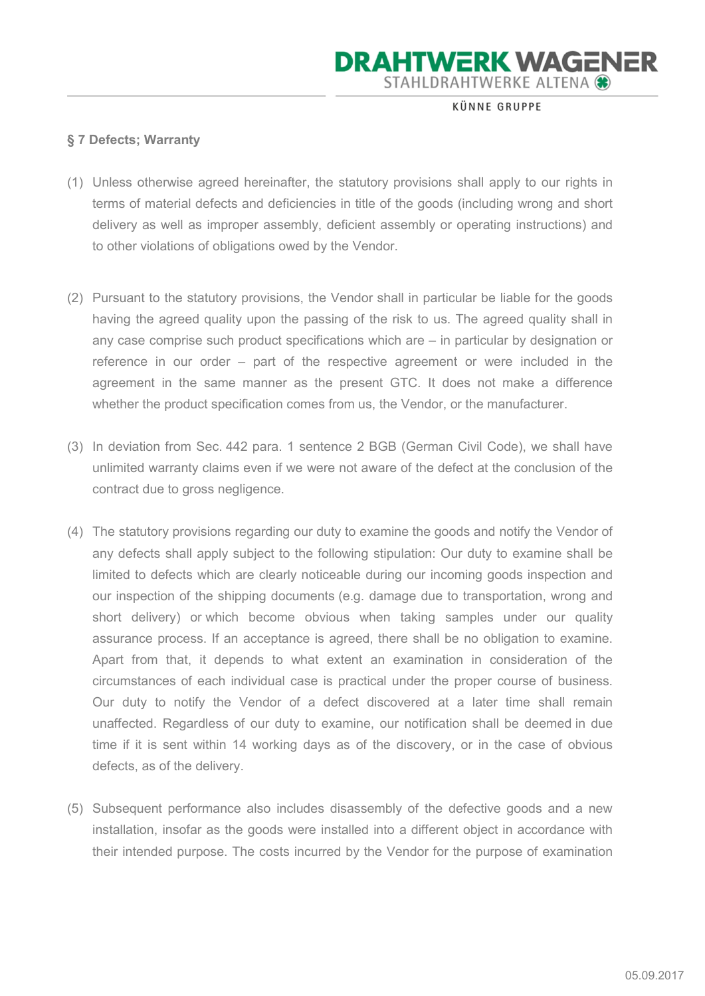KÜNNE GRUPPE

### § 7 Defects; Warranty

- (1) Unless otherwise agreed hereinafter, the statutory provisions shall apply to our rights in terms of material defects and deficiencies in title of the goods (including wrong and short delivery as well as improper assembly, deficient assembly or operating instructions) and to other violations of obligations owed by the Vendor.
- (2) Pursuant to the statutory provisions, the Vendor shall in particular be liable for the goods having the agreed quality upon the passing of the risk to us. The agreed quality shall in any case comprise such product specifications which are – in particular by designation or reference in our order – part of the respective agreement or were included in the agreement in the same manner as the present GTC. It does not make a difference whether the product specification comes from us, the Vendor, or the manufacturer.
- (3) In deviation from Sec. 442 para. 1 sentence 2 BGB (German Civil Code), we shall have unlimited warranty claims even if we were not aware of the defect at the conclusion of the contract due to gross negligence.
- (4) The statutory provisions regarding our duty to examine the goods and notify the Vendor of any defects shall apply subject to the following stipulation: Our duty to examine shall be limited to defects which are clearly noticeable during our incoming goods inspection and our inspection of the shipping documents (e.g. damage due to transportation, wrong and short delivery) or which become obvious when taking samples under our quality assurance process. If an acceptance is agreed, there shall be no obligation to examine. Apart from that, it depends to what extent an examination in consideration of the circumstances of each individual case is practical under the proper course of business. Our duty to notify the Vendor of a defect discovered at a later time shall remain unaffected. Regardless of our duty to examine, our notification shall be deemed in due time if it is sent within 14 working days as of the discovery, or in the case of obvious defects, as of the delivery.
- (5) Subsequent performance also includes disassembly of the defective goods and a new installation, insofar as the goods were installed into a different object in accordance with their intended purpose. The costs incurred by the Vendor for the purpose of examination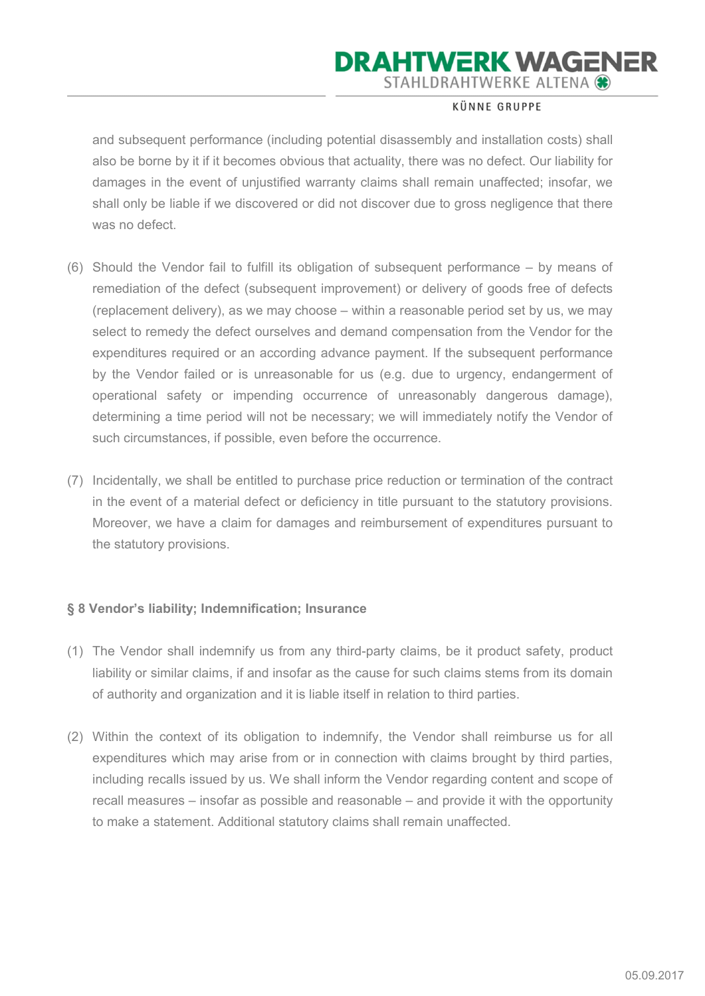#### KÜNNE GRUPPE

and subsequent performance (including potential disassembly and installation costs) shall also be borne by it if it becomes obvious that actuality, there was no defect. Our liability for damages in the event of unjustified warranty claims shall remain unaffected; insofar, we shall only be liable if we discovered or did not discover due to gross negligence that there was no defect.

- (6) Should the Vendor fail to fulfill its obligation of subsequent performance by means of remediation of the defect (subsequent improvement) or delivery of goods free of defects (replacement delivery), as we may choose – within a reasonable period set by us, we may select to remedy the defect ourselves and demand compensation from the Vendor for the expenditures required or an according advance payment. If the subsequent performance by the Vendor failed or is unreasonable for us (e.g. due to urgency, endangerment of operational safety or impending occurrence of unreasonably dangerous damage), determining a time period will not be necessary; we will immediately notify the Vendor of such circumstances, if possible, even before the occurrence.
- (7) Incidentally, we shall be entitled to purchase price reduction or termination of the contract in the event of a material defect or deficiency in title pursuant to the statutory provisions. Moreover, we have a claim for damages and reimbursement of expenditures pursuant to the statutory provisions.

### § 8 Vendor's liability; Indemnification; Insurance

- (1) The Vendor shall indemnify us from any third-party claims, be it product safety, product liability or similar claims, if and insofar as the cause for such claims stems from its domain of authority and organization and it is liable itself in relation to third parties.
- (2) Within the context of its obligation to indemnify, the Vendor shall reimburse us for all expenditures which may arise from or in connection with claims brought by third parties, including recalls issued by us. We shall inform the Vendor regarding content and scope of recall measures – insofar as possible and reasonable – and provide it with the opportunity to make a statement. Additional statutory claims shall remain unaffected.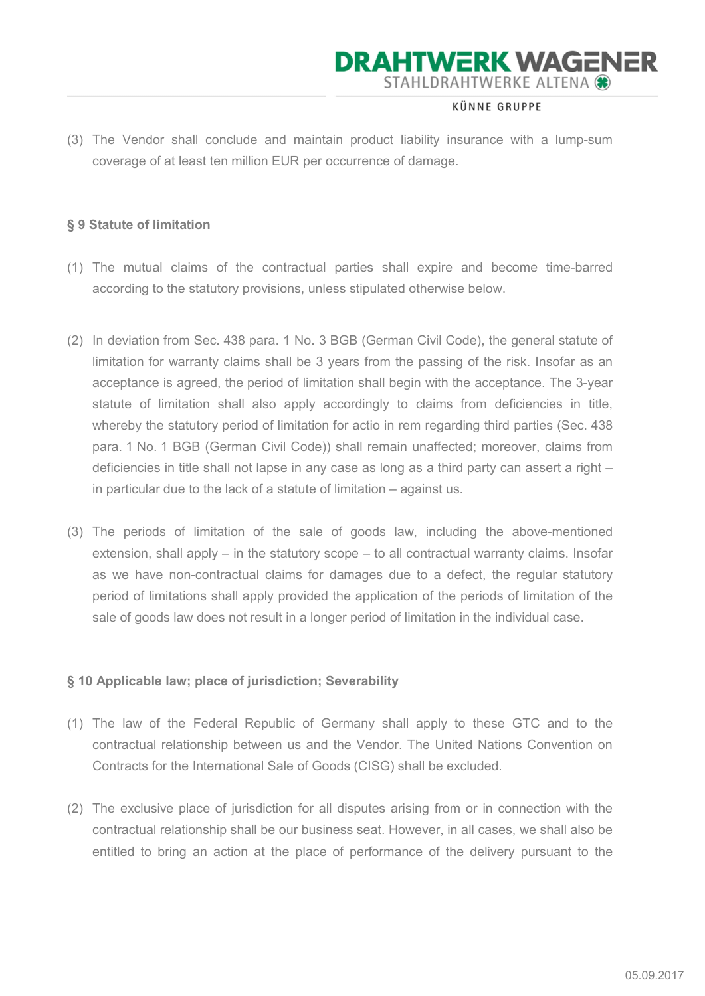#### KÜNNE GRUPPE

(3) The Vendor shall conclude and maintain product liability insurance with a lump-sum coverage of at least ten million EUR per occurrence of damage.

#### § 9 Statute of limitation

- (1) The mutual claims of the contractual parties shall expire and become time-barred according to the statutory provisions, unless stipulated otherwise below.
- (2) In deviation from Sec. 438 para. 1 No. 3 BGB (German Civil Code), the general statute of limitation for warranty claims shall be 3 years from the passing of the risk. Insofar as an acceptance is agreed, the period of limitation shall begin with the acceptance. The 3-year statute of limitation shall also apply accordingly to claims from deficiencies in title, whereby the statutory period of limitation for actio in rem regarding third parties (Sec. 438 para. 1 No. 1 BGB (German Civil Code)) shall remain unaffected; moreover, claims from deficiencies in title shall not lapse in any case as long as a third party can assert a right – in particular due to the lack of a statute of limitation – against us.
- (3) The periods of limitation of the sale of goods law, including the above-mentioned extension, shall apply – in the statutory scope – to all contractual warranty claims. Insofar as we have non-contractual claims for damages due to a defect, the regular statutory period of limitations shall apply provided the application of the periods of limitation of the sale of goods law does not result in a longer period of limitation in the individual case.

#### § 10 Applicable law; place of jurisdiction; Severability

- (1) The law of the Federal Republic of Germany shall apply to these GTC and to the contractual relationship between us and the Vendor. The United Nations Convention on Contracts for the International Sale of Goods (CISG) shall be excluded.
- (2) The exclusive place of jurisdiction for all disputes arising from or in connection with the contractual relationship shall be our business seat. However, in all cases, we shall also be entitled to bring an action at the place of performance of the delivery pursuant to the